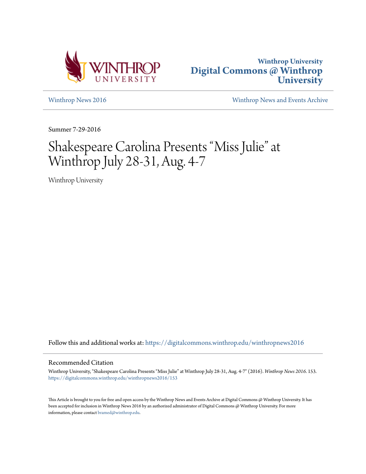



[Winthrop News 2016](https://digitalcommons.winthrop.edu/winthropnews2016?utm_source=digitalcommons.winthrop.edu%2Fwinthropnews2016%2F153&utm_medium=PDF&utm_campaign=PDFCoverPages) [Winthrop News and Events Archive](https://digitalcommons.winthrop.edu/winthropnewsarchives?utm_source=digitalcommons.winthrop.edu%2Fwinthropnews2016%2F153&utm_medium=PDF&utm_campaign=PDFCoverPages)

Summer 7-29-2016

# Shakespeare Carolina Presents "Miss Julie" at Winthrop July 28-31, Aug. 4-7

Winthrop University

Follow this and additional works at: [https://digitalcommons.winthrop.edu/winthropnews2016](https://digitalcommons.winthrop.edu/winthropnews2016?utm_source=digitalcommons.winthrop.edu%2Fwinthropnews2016%2F153&utm_medium=PDF&utm_campaign=PDFCoverPages)

### Recommended Citation

Winthrop University, "Shakespeare Carolina Presents "Miss Julie" at Winthrop July 28-31, Aug. 4-7" (2016). *Winthrop News 2016*. 153. [https://digitalcommons.winthrop.edu/winthropnews2016/153](https://digitalcommons.winthrop.edu/winthropnews2016/153?utm_source=digitalcommons.winthrop.edu%2Fwinthropnews2016%2F153&utm_medium=PDF&utm_campaign=PDFCoverPages)

This Article is brought to you for free and open access by the Winthrop News and Events Archive at Digital Commons @ Winthrop University. It has been accepted for inclusion in Winthrop News 2016 by an authorized administrator of Digital Commons @ Winthrop University. For more information, please contact [bramed@winthrop.edu](mailto:bramed@winthrop.edu).